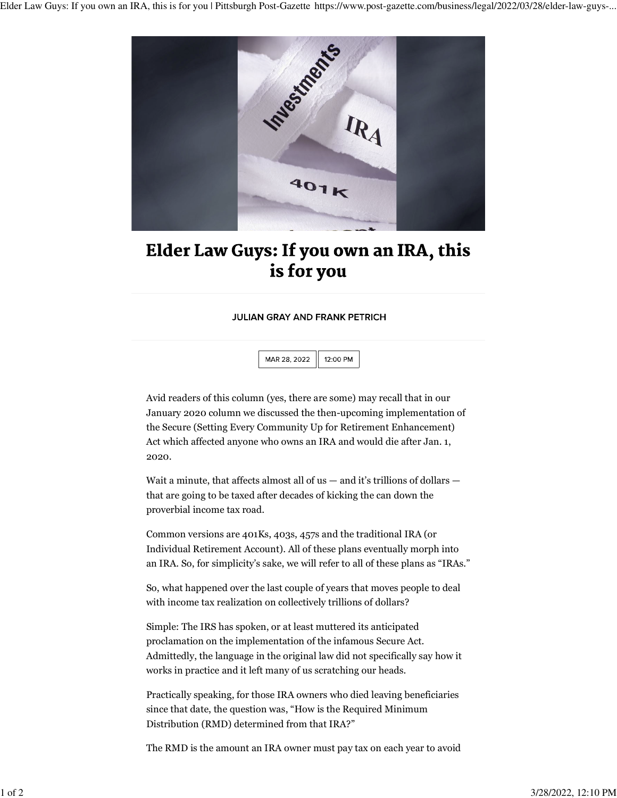

## Elder Law Guys: If you own an IRA, this is for you

## **JULIAN GRAY AND FRANK PETRICH**

MAR 28, 2022 12:00 PM

Avid readers of this column (yes, there are some) may recall that in our January 2020 column we discussed the then-upcoming implementation of the Secure (Setting Every Community Up for Retirement Enhancement) Act which affected anyone who owns an IRA and would die after Jan. 1, 2020.

Wait a minute, that affects almost all of us — and it's trillions of dollars that are going to be taxed after decades of kicking the can down the proverbial income tax road.

Common versions are 401Ks, 403s, 457s and the traditional IRA (or Individual Retirement Account). All of these plans eventually morph into an IRA. So, for simplicity's sake, we will refer to all of these plans as "IRAs."

So, what happened over the last couple of years that moves people to deal with income tax realization on collectively trillions of dollars?

Simple: The IRS has spoken, or at least muttered its anticipated proclamation on the implementation of the infamous Secure Act. Admittedly, the language in the original law did not specifically say how it works in practice and it left many of us scratching our heads.

Practically speaking, for those IRA owners who died leaving beneficiaries since that date, the question was, "How is the Required Minimum Distribution (RMD) determined from that IRA?"

The RMD is the amount an IRA owner must pay tax on each year to avoid